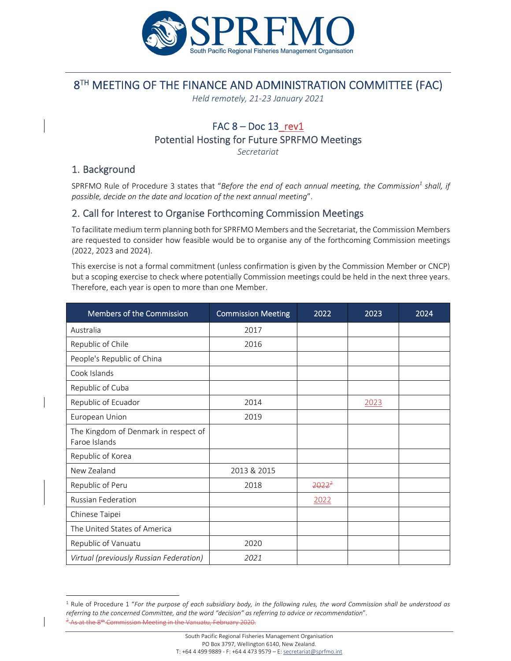

# 8TH MEETING OF THE FINANCE AND ADMINISTRATION COMMITTEE (FAC)

*Held remotely, 21‐23 January 2021* 

### FAC  $8 - Doc 13$  rev1 Potential Hosting for Future SPRFMO Meetings

*Secretariat*

## 1. Background

SPRFMO Rule of Procedure 3 states that "Before the end of each annual meeting, the Commission<sup>1</sup> shall, if *possible, decide on the date and location of the next annual meeting*".

#### 2. Call for Interest to Organise Forthcoming Commission Meetings

To facilitate medium term planning both for SPRFMO Members and the Secretariat, the Commission Members are requested to consider how feasible would be to organise any of the forthcoming Commission meetings (2022, 2023 and 2024).

This exercise is not a formal commitment (unless confirmation is given by the Commission Member or CNCP) but a scoping exercise to check where potentially Commission meetings could be held in the next three years. Therefore, each year is open to more than one Member.

| Members of the Commission                             | <b>Commission Meeting</b> | 2022     | 2023 | 2024 |
|-------------------------------------------------------|---------------------------|----------|------|------|
| Australia                                             | 2017                      |          |      |      |
| Republic of Chile                                     | 2016                      |          |      |      |
| People's Republic of China                            |                           |          |      |      |
| Cook Islands                                          |                           |          |      |      |
| Republic of Cuba                                      |                           |          |      |      |
| Republic of Ecuador                                   | 2014                      |          | 2023 |      |
| European Union                                        | 2019                      |          |      |      |
| The Kingdom of Denmark in respect of<br>Faroe Islands |                           |          |      |      |
| Republic of Korea                                     |                           |          |      |      |
| New Zealand                                           | 2013 & 2015               |          |      |      |
| Republic of Peru                                      | 2018                      | $2022^2$ |      |      |
| Russian Federation                                    |                           | 2022     |      |      |
| Chinese Taipei                                        |                           |          |      |      |
| The United States of America                          |                           |          |      |      |
| Republic of Vanuatu                                   | 2020                      |          |      |      |
| Virtual (previously Russian Federation)               | 2021                      |          |      |      |

<sup>&</sup>lt;sup>1</sup> Rule of Procedure 1 "For the purpose of each subsidiary body, in the following rules, the word Commission shall be understood as *referring to the concerned Committee, and the word "decision" as referring to advice or recommendation*".  $2.2$  at the  $8$ <sup>th</sup> Commission Meeting in the Vanuatu, February 2020.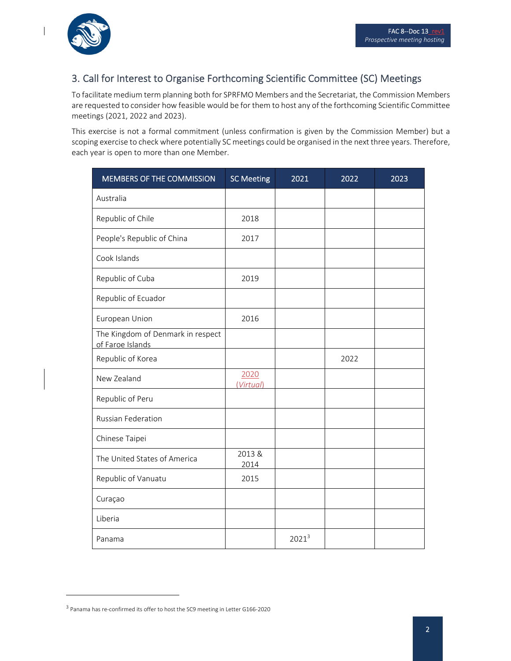

 $\overline{\phantom{a}}$ 

# 3. Call for Interest to Organise Forthcoming Scientific Committee (SC) Meetings

To facilitate medium term planning both for SPRFMO Members and the Secretariat, the Commission Members are requested to consider how feasible would be for them to host any of the forthcoming Scientific Committee meetings (2021, 2022 and 2023).

This exercise is not a formal commitment (unless confirmation is given by the Commission Member) but a scoping exercise to check where potentially SC meetings could be organised in the next three years. Therefore, each year is open to more than one Member.

| MEMBERS OF THE COMMISSION                             | <b>SC Meeting</b> | 2021     | 2022 | 2023 |
|-------------------------------------------------------|-------------------|----------|------|------|
| Australia                                             |                   |          |      |      |
| Republic of Chile                                     | 2018              |          |      |      |
| People's Republic of China                            | 2017              |          |      |      |
| Cook Islands                                          |                   |          |      |      |
| Republic of Cuba                                      | 2019              |          |      |      |
| Republic of Ecuador                                   |                   |          |      |      |
| European Union                                        | 2016              |          |      |      |
| The Kingdom of Denmark in respect<br>of Faroe Islands |                   |          |      |      |
| Republic of Korea                                     |                   |          | 2022 |      |
| New Zealand                                           | 2020<br>(Virtual) |          |      |      |
| Republic of Peru                                      |                   |          |      |      |
| <b>Russian Federation</b>                             |                   |          |      |      |
| Chinese Taipei                                        |                   |          |      |      |
| The United States of America                          | 2013&<br>2014     |          |      |      |
| Republic of Vanuatu                                   | 2015              |          |      |      |
| Curaçao                                               |                   |          |      |      |
| Liberia                                               |                   |          |      |      |
| Panama                                                |                   | $2021^3$ |      |      |

<sup>&</sup>lt;sup>3</sup> Panama has re-confirmed its offer to host the SC9 meeting in Letter G166-2020